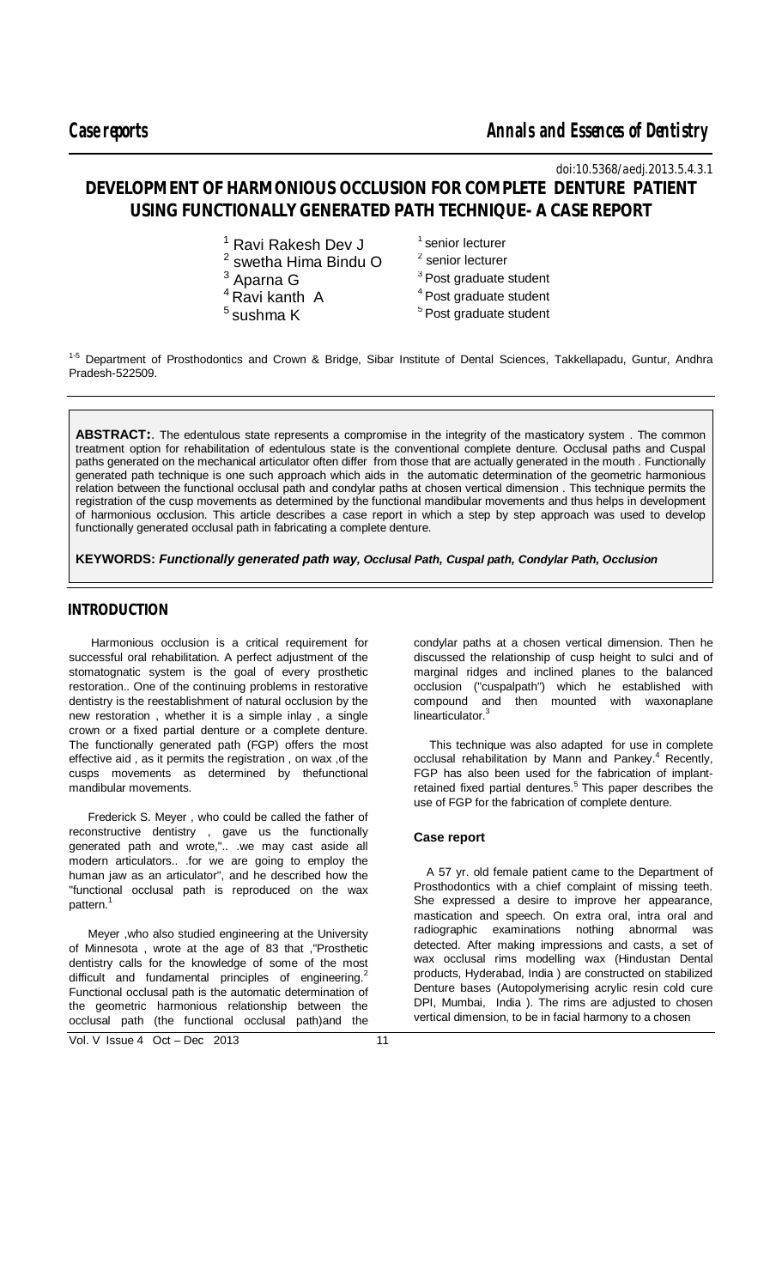$\overline{a}$ 

*doi:10.5368/aedj.2013.5.4.3.1*

# **DEVELOPMENT OF HARMONIOUS OCCLUSION FOR COMPLETE DENTURE PATIENT USING FUNCTIONALLY GENERATED PATH TECHNIQUE- A CASE REPORT**

|  | <sup>1</sup> Ravi Rakesh Dev J |  |
|--|--------------------------------|--|
|  |                                |  |

- 2 swetha Hima Bindu O
- $3$  Aparna G
- $4$  Ravi kanth A
- $5$ sushma K
- $1$  senior lecturer <sup>2</sup> senior lecturer  $3$  Post graduate student <sup>4</sup> Post graduate student  $5$  Post graduate student

<sup>1-5</sup> Department of Prosthodontics and Crown & Bridge, Sibar Institute of Dental Sciences, Takkellapadu, Guntur, Andhra Pradesh-522509.

**ABSTRACT:**. The edentulous state represents a compromise in the integrity of the masticatory system . The common treatment option for rehabilitation of edentulous state is the conventional complete denture. Occlusal paths and Cuspal paths generated on the mechanical articulator often differ from those that are actually generated in the mouth . Functionally generated path technique is one such approach which aids in the automatic determination of the geometric harmonious relation between the functional occlusal path and condylar paths at chosen vertical dimension . This technique permits the registration of the cusp movements as determined by the functional mandibular movements and thus helps in development of harmonious occlusion. This article describes a case report in which a step by step approach was used to develop functionally generated occlusal path in fabricating a complete denture.

**KEYWORDS:** *Functionally generated path way, Occlusal Path, Cuspal path, Condylar Path, Occlusion* 

### **INTRODUCTION**

 Harmonious occlusion is a critical requirement for successful oral rehabilitation. A perfect adjustment of the stomatognatic system is the goal of every prosthetic restoration.. One of the continuing problems in restorative dentistry is the reestablishment of natural occlusion by the new restoration , whether it is a simple inlay , a single crown or a fixed partial denture or a complete denture. The functionally generated path (FGP) offers the most effective aid , as it permits the registration , on wax ,of the cusps movements as determined by thefunctional mandibular movements.

 Frederick S. Meyer , who could be called the father of reconstructive dentistry , gave us the functionally generated path and wrote,".. .we may cast aside all modern articulators.. .for we are going to employ the human jaw as an articulator", and he described how the "functional occlusal path is reproduced on the wax pattern.<sup>1</sup>

 Meyer ,who also studied engineering at the University of Minnesota , wrote at the age of 83 that ,"Prosthetic dentistry calls for the knowledge of some of the most difficult and fundamental principles of engineering.<sup>2</sup> Functional occlusal path is the automatic determination of the geometric harmonious relationship between the occlusal path (the functional occlusal path)and the condylar paths at a chosen vertical dimension. Then he discussed the relationship of cusp height to sulci and of marginal ridges and inclined planes to the balanced occlusion ("cuspalpath") which he established with compound and then mounted with waxonaplane linearticulator.<sup>3</sup>

 This technique was also adapted for use in complete occlusal rehabilitation by Mann and Pankey. $4$  Recently, FGP has also been used for the fabrication of implantretained fixed partial dentures.<sup>5</sup> This paper describes the use of FGP for the fabrication of complete denture.

### **Case report**

 A 57 yr. old female patient came to the Department of Prosthodontics with a chief complaint of missing teeth. She expressed a desire to improve her appearance, mastication and speech. On extra oral, intra oral and radiographic examinations nothing abnormal was detected. After making impressions and casts, a set of wax occlusal rims modelling wax (Hindustan Dental products, Hyderabad, India ) are constructed on stabilized Denture bases (Autopolymerising acrylic resin cold cure DPI, Mumbai, India ). The rims are adjusted to chosen vertical dimension, to be in facial harmony to a chosen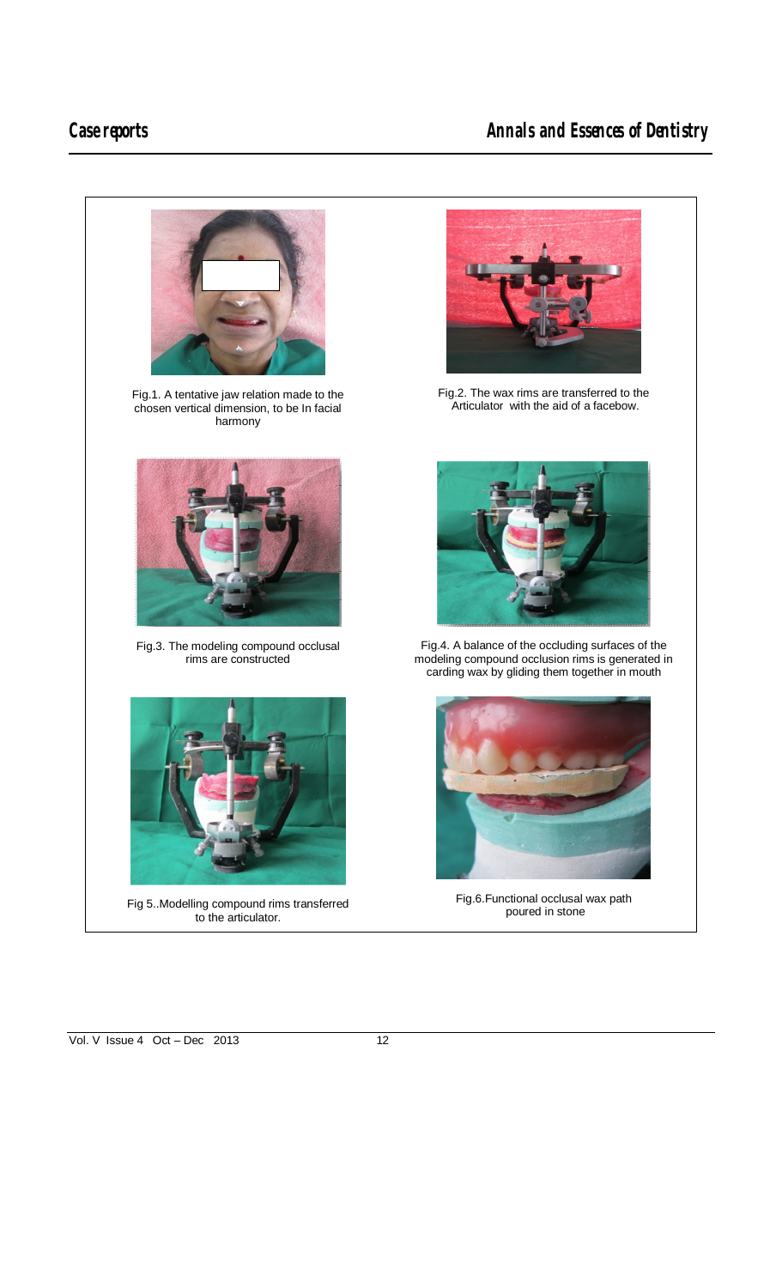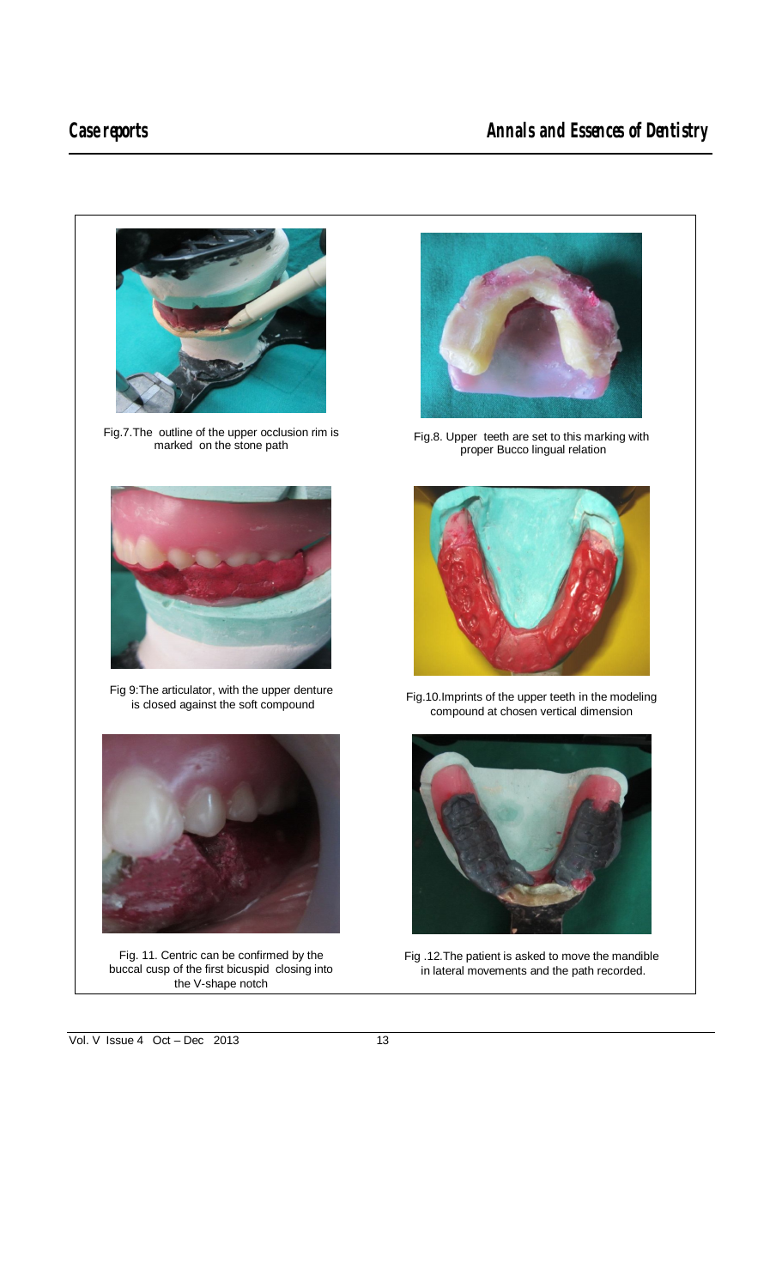$\overline{a}$ 

# Case reports **Case reports Case reports Annals and Essences of Dentistry**



Fig.8. Upper teeth are set to this marking with proper Bucco lingual relation



Fig.10.Imprints of the upper teeth in the modeling compound at chosen vertical dimension



Fig .12.The patient is asked to move the mandible in lateral movements and the path recorded.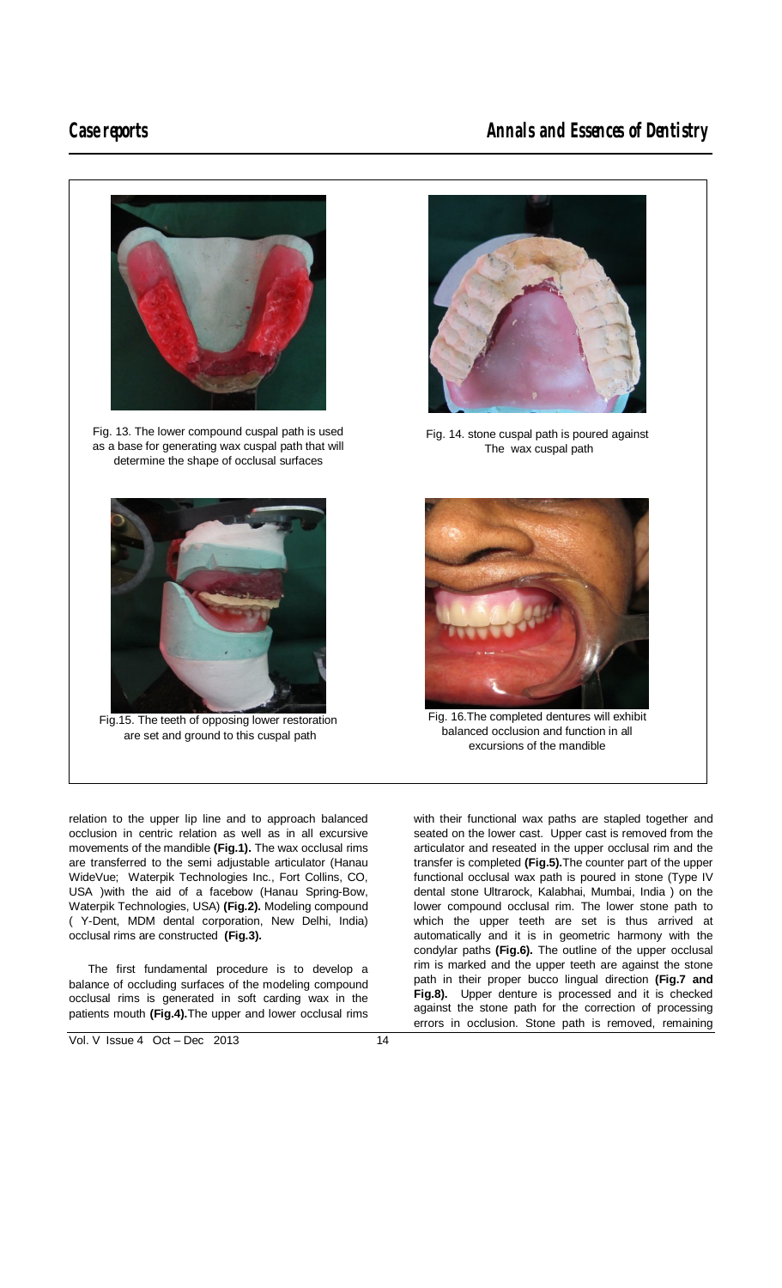$\overline{a}$ 

# **Case reports Case reports Case reports Annals and Essences of Dentistry**



relation to the upper lip line and to approach balanced occlusion in centric relation as well as in all excursive movements of the mandible **(Fig.1).** The wax occlusal rims are transferred to the semi adjustable articulator (Hanau WideVue; Waterpik Technologies Inc., Fort Collins, CO, USA )with the aid of a facebow (Hanau Spring-Bow, Waterpik Technologies, USA) **(Fig.2).** Modeling compound ( Y-Dent, MDM dental corporation, New Delhi, India) occlusal rims are constructed **(Fig.3).**

 The first fundamental procedure is to develop a balance of occluding surfaces of the modeling compound occlusal rims is generated in soft carding wax in the patients mouth **(Fig.4).**The upper and lower occlusal rims



Fig. 14. stone cuspal path is poured against The wax cuspal path



Fig. 16.The completed dentures will exhibit balanced occlusion and function in all excursions of the mandible

with their functional wax paths are stapled together and seated on the lower cast. Upper cast is removed from the articulator and reseated in the upper occlusal rim and the transfer is completed **(Fig.5).**The counter part of the upper functional occlusal wax path is poured in stone (Type IV dental stone Ultrarock, Kalabhai, Mumbai, India ) on the lower compound occlusal rim. The lower stone path to which the upper teeth are set is thus arrived at automatically and it is in geometric harmony with the condylar paths **(Fig.6).** The outline of the upper occlusal rim is marked and the upper teeth are against the stone path in their proper bucco lingual direction **(Fig.7 and Fig.8).** Upper denture is processed and it is checked against the stone path for the correction of processing errors in occlusion. Stone path is removed, remaining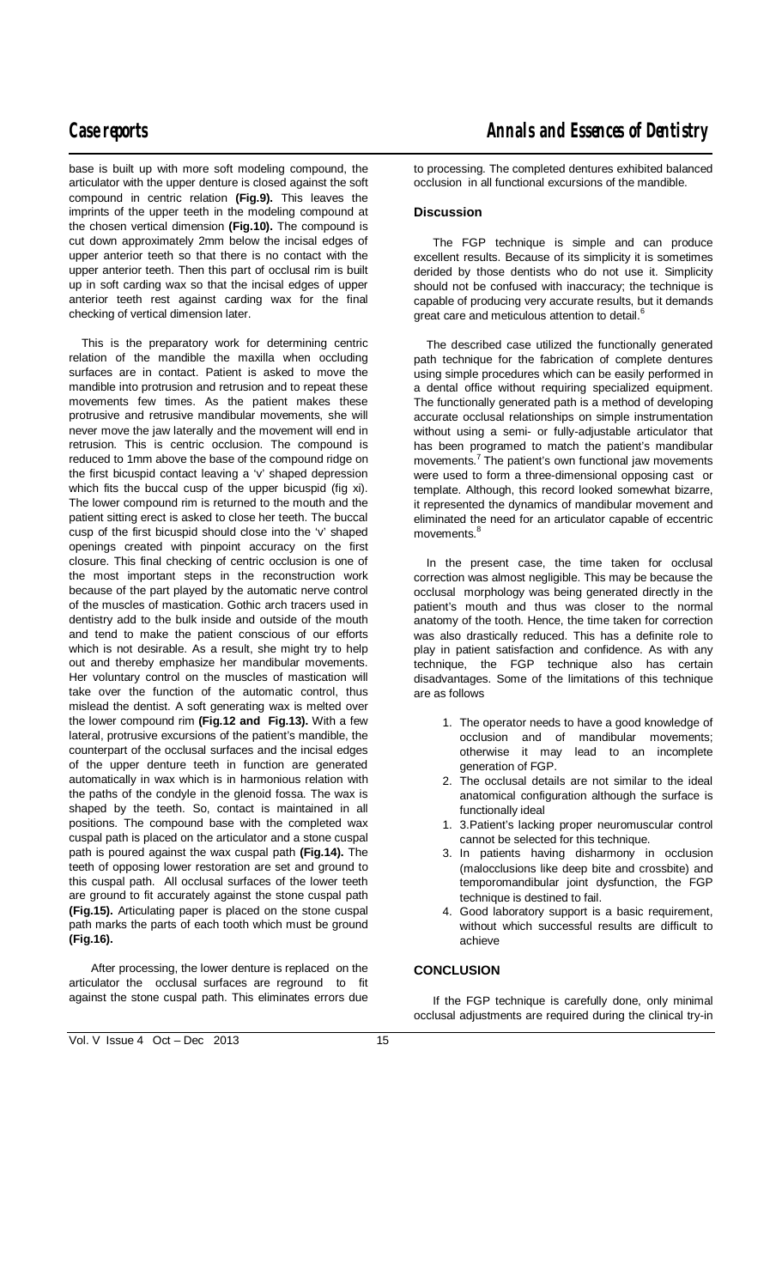$\overline{a}$ base is built up with more soft modeling compound, the articulator with the upper denture is closed against the soft compound in centric relation **(Fig.9).** This leaves the imprints of the upper teeth in the modeling compound at the chosen vertical dimension **(Fig.10).** The compound is cut down approximately 2mm below the incisal edges of upper anterior teeth so that there is no contact with the upper anterior teeth. Then this part of occlusal rim is built up in soft carding wax so that the incisal edges of upper anterior teeth rest against carding wax for the final checking of vertical dimension later.

 This is the preparatory work for determining centric relation of the mandible the maxilla when occluding surfaces are in contact. Patient is asked to move the mandible into protrusion and retrusion and to repeat these movements few times. As the patient makes these protrusive and retrusive mandibular movements, she will never move the jaw laterally and the movement will end in retrusion. This is centric occlusion. The compound is reduced to 1mm above the base of the compound ridge on the first bicuspid contact leaving a 'v' shaped depression which fits the buccal cusp of the upper bicuspid (fig xi). The lower compound rim is returned to the mouth and the patient sitting erect is asked to close her teeth. The buccal cusp of the first bicuspid should close into the 'v' shaped openings created with pinpoint accuracy on the first closure. This final checking of centric occlusion is one of the most important steps in the reconstruction work because of the part played by the automatic nerve control of the muscles of mastication. Gothic arch tracers used in dentistry add to the bulk inside and outside of the mouth and tend to make the patient conscious of our efforts which is not desirable. As a result, she might try to help out and thereby emphasize her mandibular movements. Her voluntary control on the muscles of mastication will take over the function of the automatic control, thus mislead the dentist. A soft generating wax is melted over the lower compound rim **(Fig.12 and Fig.13).** With a few lateral, protrusive excursions of the patient's mandible, the counterpart of the occlusal surfaces and the incisal edges of the upper denture teeth in function are generated automatically in wax which is in harmonious relation with the paths of the condyle in the glenoid fossa. The wax is shaped by the teeth. So, contact is maintained in all positions. The compound base with the completed wax cuspal path is placed on the articulator and a stone cuspal path is poured against the wax cuspal path **(Fig.14).** The teeth of opposing lower restoration are set and ground to this cuspal path. All occlusal surfaces of the lower teeth are ground to fit accurately against the stone cuspal path **(Fig.15).** Articulating paper is placed on the stone cuspal path marks the parts of each tooth which must be ground **(Fig.16).**

 After processing, the lower denture is replaced on the articulator the occlusal surfaces are reground to fit against the stone cuspal path. This eliminates errors due to processing. The completed dentures exhibited balanced occlusion in all functional excursions of the mandible.

### **Discussion**

 The FGP technique is simple and can produce excellent results. Because of its simplicity it is sometimes derided by those dentists who do not use it. Simplicity should not be confused with inaccuracy; the technique is capable of producing very accurate results, but it demands great care and meticulous attention to detail.<sup>6</sup>

 The described case utilized the functionally generated path technique for the fabrication of complete dentures using simple procedures which can be easily performed in a dental office without requiring specialized equipment. The functionally generated path is a method of developing accurate occlusal relationships on simple instrumentation without using a semi- or fully-adjustable articulator that has been programed to match the patient's mandibular movements.<sup>7</sup> The patient's own functional jaw movements were used to form a three-dimensional opposing cast or template. Although, this record looked somewhat bizarre, it represented the dynamics of mandibular movement and eliminated the need for an articulator capable of eccentric movements.<sup>8</sup>

 In the present case, the time taken for occlusal correction was almost negligible. This may be because the occlusal morphology was being generated directly in the patient's mouth and thus was closer to the normal anatomy of the tooth. Hence, the time taken for correction was also drastically reduced. This has a definite role to play in patient satisfaction and confidence. As with any technique, the FGP technique also has certain disadvantages. Some of the limitations of this technique are as follows

- 1. The operator needs to have a good knowledge of occlusion and of mandibular movements; otherwise it may lead to an incomplete generation of FGP.
- 2. The occlusal details are not similar to the ideal anatomical configuration although the surface is functionally ideal
- 1. 3.Patient's lacking proper neuromuscular control cannot be selected for this technique.
- 3. In patients having disharmony in occlusion (malocclusions like deep bite and crossbite) and temporomandibular joint dysfunction, the FGP technique is destined to fail.
- 4. Good laboratory support is a basic requirement, without which successful results are difficult to achieve

# **CONCLUSION**

 If the FGP technique is carefully done, only minimal occlusal adjustments are required during the clinical try-in